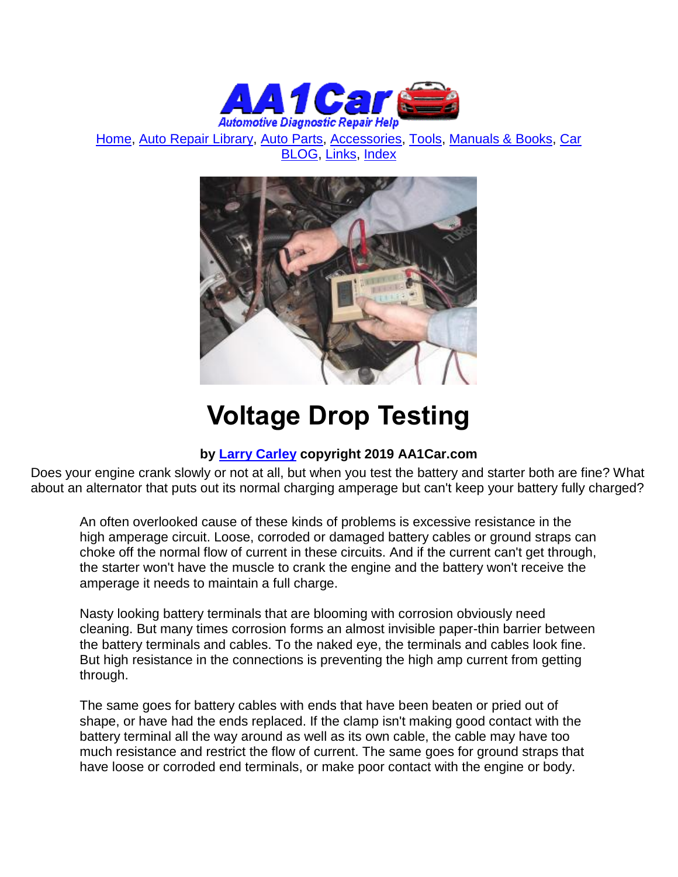

[Home,](http://www.aa1car.com/) [Auto Repair Library,](http://www.aa1car.com/library.htm) [Auto Parts,](http://www.aa1car.com/links_parts.htm) [Accessories,](http://www.aa1car.com/links_accessories.htm) [Tools,](http://www.aa1car.com/links_tools.htm) [Manuals & Books,](http://www.aa1car.com/links_books.htm) [Car](http://www.aa1car.com/blog/blog.htm)  [BLOG,](http://www.aa1car.com/blog/blog.htm) [Links,](http://www.aa1car.com/links.htm) [Index](http://www.aa1car.com/index_alphabetical.htm)



# **Voltage Drop Testing**

#### **by [Larry Carley](https://www.aa1car.com/larrypage/larrycarley_photos.htm) copyright 2019 AA1Car.com**

Does your engine crank slowly or not at all, but when you test the battery and starter both are fine? What about an alternator that puts out its normal charging amperage but can't keep your battery fully charged?

An often overlooked cause of these kinds of problems is excessive resistance in the high amperage circuit. Loose, corroded or damaged battery cables or ground straps can choke off the normal flow of current in these circuits. And if the current can't get through, the starter won't have the muscle to crank the engine and the battery won't receive the amperage it needs to maintain a full charge.

Nasty looking battery terminals that are blooming with corrosion obviously need cleaning. But many times corrosion forms an almost invisible paper-thin barrier between the battery terminals and cables. To the naked eye, the terminals and cables look fine. But high resistance in the connections is preventing the high amp current from getting through.

The same goes for battery cables with ends that have been beaten or pried out of shape, or have had the ends replaced. If the clamp isn't making good contact with the battery terminal all the way around as well as its own cable, the cable may have too much resistance and restrict the flow of current. The same goes for ground straps that have loose or corroded end terminals, or make poor contact with the engine or body.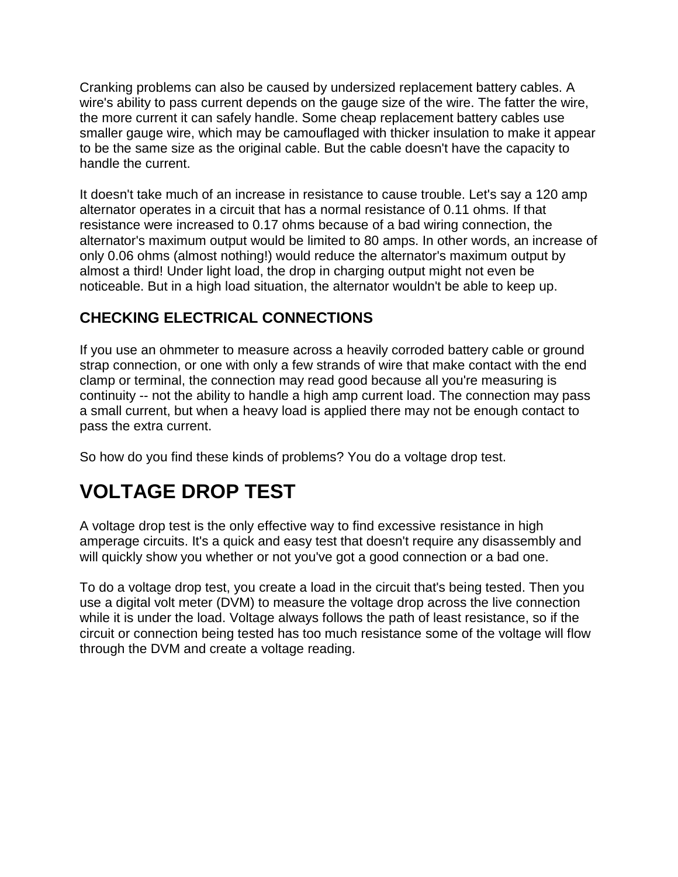Cranking problems can also be caused by undersized replacement battery cables. A wire's ability to pass current depends on the gauge size of the wire. The fatter the wire, the more current it can safely handle. Some cheap replacement battery cables use smaller gauge wire, which may be camouflaged with thicker insulation to make it appear to be the same size as the original cable. But the cable doesn't have the capacity to handle the current.

It doesn't take much of an increase in resistance to cause trouble. Let's say a 120 amp alternator operates in a circuit that has a normal resistance of 0.11 ohms. If that resistance were increased to 0.17 ohms because of a bad wiring connection, the alternator's maximum output would be limited to 80 amps. In other words, an increase of only 0.06 ohms (almost nothing!) would reduce the alternator's maximum output by almost a third! Under light load, the drop in charging output might not even be noticeable. But in a high load situation, the alternator wouldn't be able to keep up.

#### **CHECKING ELECTRICAL CONNECTIONS**

If you use an ohmmeter to measure across a heavily corroded battery cable or ground strap connection, or one with only a few strands of wire that make contact with the end clamp or terminal, the connection may read good because all you're measuring is continuity -- not the ability to handle a high amp current load. The connection may pass a small current, but when a heavy load is applied there may not be enough contact to pass the extra current.

So how do you find these kinds of problems? You do a voltage drop test.

## **VOLTAGE DROP TEST**

A voltage drop test is the only effective way to find excessive resistance in high amperage circuits. It's a quick and easy test that doesn't require any disassembly and will quickly show you whether or not you've got a good connection or a bad one.

To do a voltage drop test, you create a load in the circuit that's being tested. Then you use a digital volt meter (DVM) to measure the voltage drop across the live connection while it is under the load. Voltage always follows the path of least resistance, so if the circuit or connection being tested has too much resistance some of the voltage will flow through the DVM and create a voltage reading.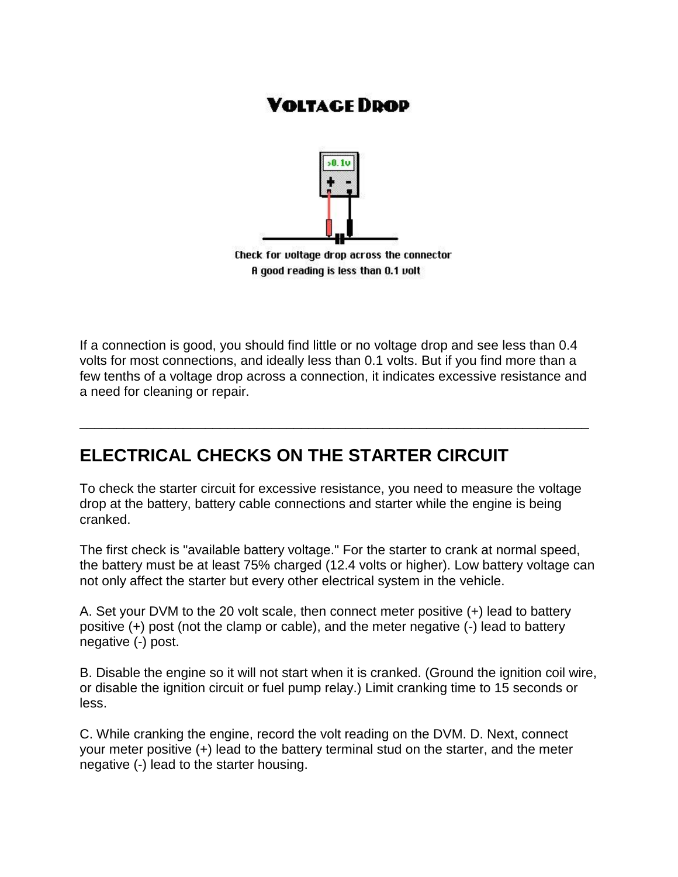## **VOLTAGE DDOD**



A good reading is less than 0.1 volt

If a connection is good, you should find little or no voltage drop and see less than 0.4 volts for most connections, and ideally less than 0.1 volts. But if you find more than a few tenths of a voltage drop across a connection, it indicates excessive resistance and a need for cleaning or repair.

\_\_\_\_\_\_\_\_\_\_\_\_\_\_\_\_\_\_\_\_\_\_\_\_\_\_\_\_\_\_\_\_\_\_\_\_\_\_\_\_\_\_\_\_\_\_\_\_\_\_\_\_\_\_\_\_\_\_\_\_\_\_\_\_\_\_\_\_\_

## **ELECTRICAL CHECKS ON THE STARTER CIRCUIT**

To check the starter circuit for excessive resistance, you need to measure the voltage drop at the battery, battery cable connections and starter while the engine is being cranked.

The first check is "available battery voltage." For the starter to crank at normal speed, the battery must be at least 75% charged (12.4 volts or higher). Low battery voltage can not only affect the starter but every other electrical system in the vehicle.

A. Set your DVM to the 20 volt scale, then connect meter positive (+) lead to battery positive (+) post (not the clamp or cable), and the meter negative (-) lead to battery negative (-) post.

B. Disable the engine so it will not start when it is cranked. (Ground the ignition coil wire, or disable the ignition circuit or fuel pump relay.) Limit cranking time to 15 seconds or less.

C. While cranking the engine, record the volt reading on the DVM. D. Next, connect your meter positive (+) lead to the battery terminal stud on the starter, and the meter negative (-) lead to the starter housing.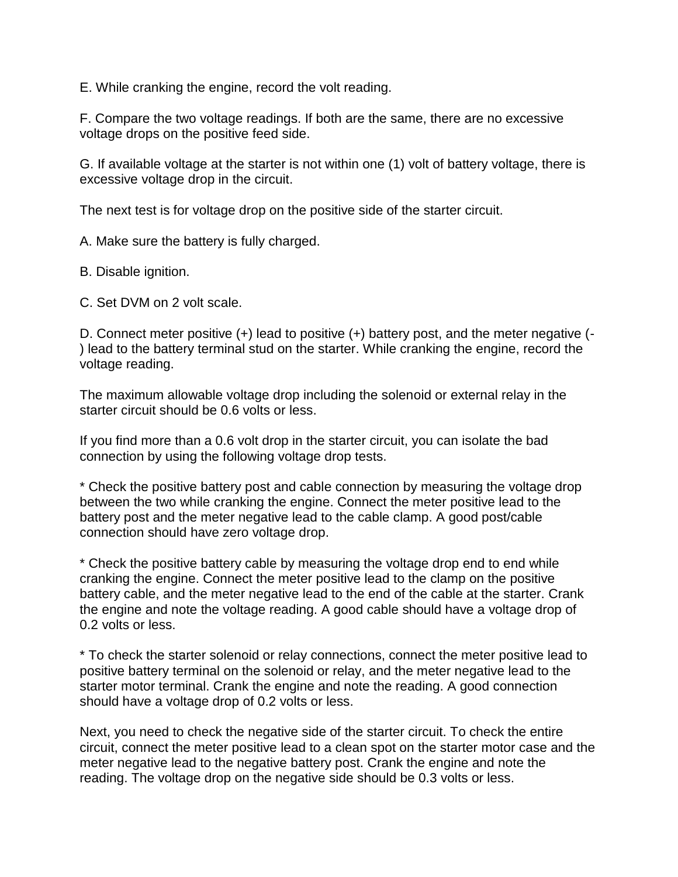E. While cranking the engine, record the volt reading.

F. Compare the two voltage readings. If both are the same, there are no excessive voltage drops on the positive feed side.

G. If available voltage at the starter is not within one (1) volt of battery voltage, there is excessive voltage drop in the circuit.

The next test is for voltage drop on the positive side of the starter circuit.

A. Make sure the battery is fully charged.

B. Disable ignition.

C. Set DVM on 2 volt scale.

D. Connect meter positive (+) lead to positive (+) battery post, and the meter negative (- ) lead to the battery terminal stud on the starter. While cranking the engine, record the voltage reading.

The maximum allowable voltage drop including the solenoid or external relay in the starter circuit should be 0.6 volts or less.

If you find more than a 0.6 volt drop in the starter circuit, you can isolate the bad connection by using the following voltage drop tests.

\* Check the positive battery post and cable connection by measuring the voltage drop between the two while cranking the engine. Connect the meter positive lead to the battery post and the meter negative lead to the cable clamp. A good post/cable connection should have zero voltage drop.

\* Check the positive battery cable by measuring the voltage drop end to end while cranking the engine. Connect the meter positive lead to the clamp on the positive battery cable, and the meter negative lead to the end of the cable at the starter. Crank the engine and note the voltage reading. A good cable should have a voltage drop of 0.2 volts or less.

\* To check the starter solenoid or relay connections, connect the meter positive lead to positive battery terminal on the solenoid or relay, and the meter negative lead to the starter motor terminal. Crank the engine and note the reading. A good connection should have a voltage drop of 0.2 volts or less.

Next, you need to check the negative side of the starter circuit. To check the entire circuit, connect the meter positive lead to a clean spot on the starter motor case and the meter negative lead to the negative battery post. Crank the engine and note the reading. The voltage drop on the negative side should be 0.3 volts or less.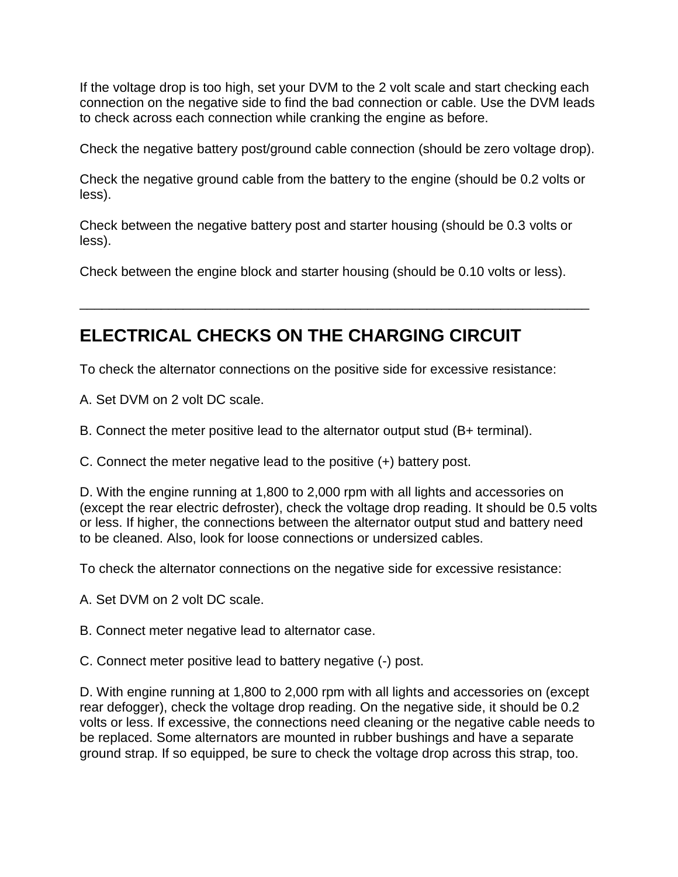If the voltage drop is too high, set your DVM to the 2 volt scale and start checking each connection on the negative side to find the bad connection or cable. Use the DVM leads to check across each connection while cranking the engine as before.

Check the negative battery post/ground cable connection (should be zero voltage drop).

Check the negative ground cable from the battery to the engine (should be 0.2 volts or less).

Check between the negative battery post and starter housing (should be 0.3 volts or less).

Check between the engine block and starter housing (should be 0.10 volts or less).

\_\_\_\_\_\_\_\_\_\_\_\_\_\_\_\_\_\_\_\_\_\_\_\_\_\_\_\_\_\_\_\_\_\_\_\_\_\_\_\_\_\_\_\_\_\_\_\_\_\_\_\_\_\_\_\_\_\_\_\_\_\_\_\_\_\_\_\_\_

## **ELECTRICAL CHECKS ON THE CHARGING CIRCUIT**

To check the alternator connections on the positive side for excessive resistance:

A. Set DVM on 2 volt DC scale.

B. Connect the meter positive lead to the alternator output stud (B+ terminal).

C. Connect the meter negative lead to the positive (+) battery post.

D. With the engine running at 1,800 to 2,000 rpm with all lights and accessories on (except the rear electric defroster), check the voltage drop reading. It should be 0.5 volts or less. If higher, the connections between the alternator output stud and battery need to be cleaned. Also, look for loose connections or undersized cables.

To check the alternator connections on the negative side for excessive resistance:

A. Set DVM on 2 volt DC scale.

B. Connect meter negative lead to alternator case.

C. Connect meter positive lead to battery negative (-) post.

D. With engine running at 1,800 to 2,000 rpm with all lights and accessories on (except rear defogger), check the voltage drop reading. On the negative side, it should be 0.2 volts or less. If excessive, the connections need cleaning or the negative cable needs to be replaced. Some alternators are mounted in rubber bushings and have a separate ground strap. If so equipped, be sure to check the voltage drop across this strap, too.